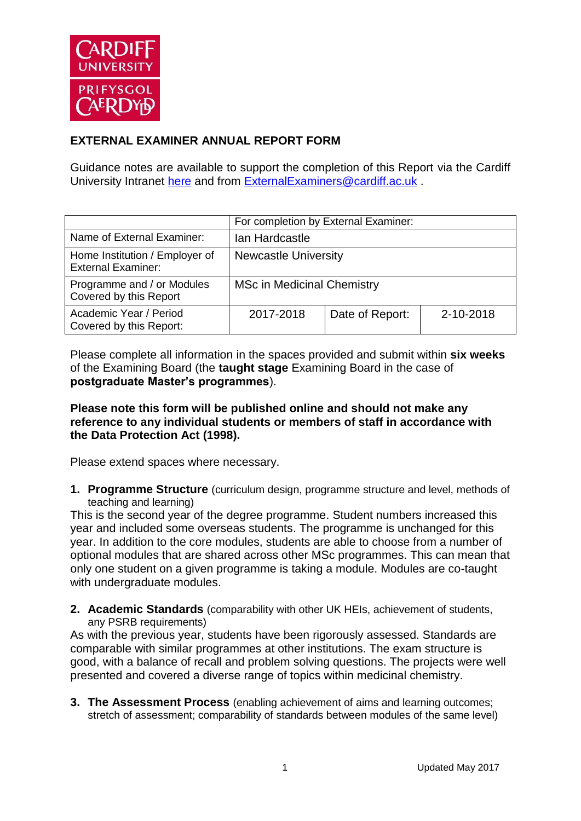

## **EXTERNAL EXAMINER ANNUAL REPORT FORM**

Guidance notes are available to support the completion of this Report via the Cardiff University Intranet [here](https://intranet.cardiff.ac.uk/staff/teaching-and-supporting-students/exams-and-assessment/exam-boards-and-external-examiners/for-current-external-examiners/external-examiners-reports) and from [ExternalExaminers@cardiff.ac.uk](mailto:ExternalExaminers@cardiff.ac.uk) .

|                                                             | For completion by External Examiner: |                 |           |
|-------------------------------------------------------------|--------------------------------------|-----------------|-----------|
| Name of External Examiner:                                  | Ian Hardcastle                       |                 |           |
| Home Institution / Employer of<br><b>External Examiner:</b> | <b>Newcastle University</b>          |                 |           |
| Programme and / or Modules<br>Covered by this Report        | <b>MSc in Medicinal Chemistry</b>    |                 |           |
| Academic Year / Period<br>Covered by this Report:           | 2017-2018                            | Date of Report: | 2-10-2018 |

Please complete all information in the spaces provided and submit within **six weeks** of the Examining Board (the **taught stage** Examining Board in the case of **postgraduate Master's programmes**).

## **Please note this form will be published online and should not make any reference to any individual students or members of staff in accordance with the Data Protection Act (1998).**

Please extend spaces where necessary.

**1. Programme Structure** (curriculum design, programme structure and level, methods of teaching and learning)

This is the second year of the degree programme. Student numbers increased this year and included some overseas students. The programme is unchanged for this year. In addition to the core modules, students are able to choose from a number of optional modules that are shared across other MSc programmes. This can mean that only one student on a given programme is taking a module. Modules are co-taught with undergraduate modules.

**2. Academic Standards** (comparability with other UK HEIs, achievement of students, any PSRB requirements)

As with the previous year, students have been rigorously assessed. Standards are comparable with similar programmes at other institutions. The exam structure is good, with a balance of recall and problem solving questions. The projects were well presented and covered a diverse range of topics within medicinal chemistry.

**3. The Assessment Process** (enabling achievement of aims and learning outcomes; stretch of assessment; comparability of standards between modules of the same level)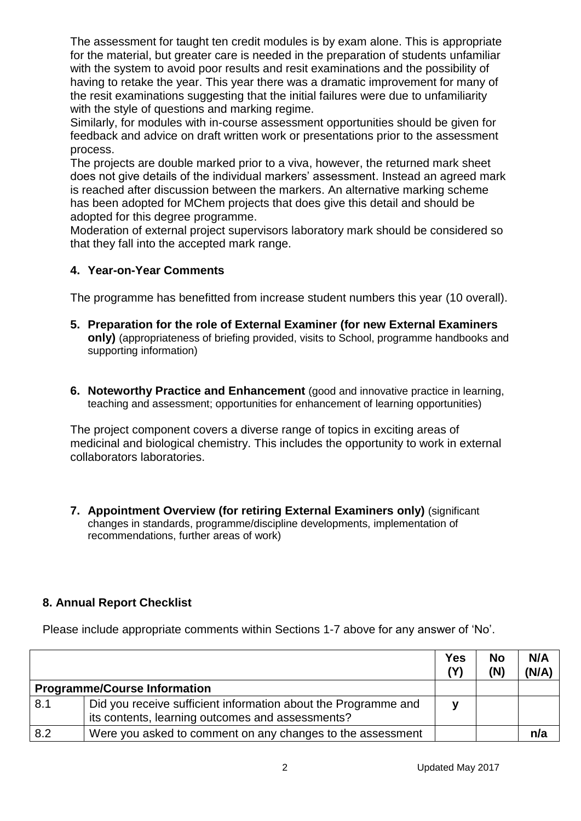The assessment for taught ten credit modules is by exam alone. This is appropriate for the material, but greater care is needed in the preparation of students unfamiliar with the system to avoid poor results and resit examinations and the possibility of having to retake the year. This year there was a dramatic improvement for many of the resit examinations suggesting that the initial failures were due to unfamiliarity with the style of questions and marking regime.

Similarly, for modules with in-course assessment opportunities should be given for feedback and advice on draft written work or presentations prior to the assessment process.

The projects are double marked prior to a viva, however, the returned mark sheet does not give details of the individual markers' assessment. Instead an agreed mark is reached after discussion between the markers. An alternative marking scheme has been adopted for MChem projects that does give this detail and should be adopted for this degree programme.

Moderation of external project supervisors laboratory mark should be considered so that they fall into the accepted mark range.

## **4. Year-on-Year Comments**

The programme has benefitted from increase student numbers this year (10 overall).

- **5. Preparation for the role of External Examiner (for new External Examiners only)** (appropriateness of briefing provided, visits to School, programme handbooks and supporting information)
- **6. Noteworthy Practice and Enhancement** (good and innovative practice in learning, teaching and assessment; opportunities for enhancement of learning opportunities)

The project component covers a diverse range of topics in exciting areas of medicinal and biological chemistry. This includes the opportunity to work in external collaborators laboratories.

**7. Appointment Overview (for retiring External Examiners only)** (significant changes in standards, programme/discipline developments, implementation of recommendations, further areas of work)

## **8. Annual Report Checklist**

Please include appropriate comments within Sections 1-7 above for any answer of 'No'.

|     |                                                                                                                    | <b>Yes</b><br>(Y) | <b>No</b><br>(N) | N/A<br>(N/A) |
|-----|--------------------------------------------------------------------------------------------------------------------|-------------------|------------------|--------------|
|     | <b>Programme/Course Information</b>                                                                                |                   |                  |              |
| 8.1 | Did you receive sufficient information about the Programme and<br>its contents, learning outcomes and assessments? |                   |                  |              |
| 8.2 | Were you asked to comment on any changes to the assessment                                                         |                   |                  | n/a          |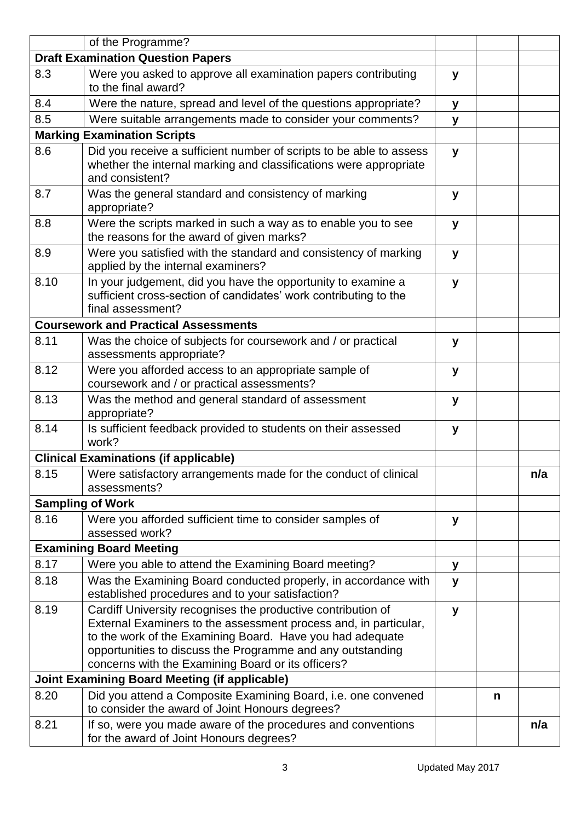|                                                      | of the Programme?                                                                                                                                                                                                                                                                                                 |   |   |     |
|------------------------------------------------------|-------------------------------------------------------------------------------------------------------------------------------------------------------------------------------------------------------------------------------------------------------------------------------------------------------------------|---|---|-----|
| <b>Draft Examination Question Papers</b>             |                                                                                                                                                                                                                                                                                                                   |   |   |     |
| 8.3                                                  | Were you asked to approve all examination papers contributing<br>to the final award?                                                                                                                                                                                                                              | У |   |     |
| 8.4                                                  | Were the nature, spread and level of the questions appropriate?                                                                                                                                                                                                                                                   | y |   |     |
| 8.5                                                  | Were suitable arrangements made to consider your comments?                                                                                                                                                                                                                                                        | y |   |     |
|                                                      | <b>Marking Examination Scripts</b>                                                                                                                                                                                                                                                                                |   |   |     |
| 8.6                                                  | Did you receive a sufficient number of scripts to be able to assess<br>whether the internal marking and classifications were appropriate<br>and consistent?                                                                                                                                                       | y |   |     |
| 8.7                                                  | Was the general standard and consistency of marking<br>appropriate?                                                                                                                                                                                                                                               | У |   |     |
| 8.8                                                  | Were the scripts marked in such a way as to enable you to see<br>the reasons for the award of given marks?                                                                                                                                                                                                        | y |   |     |
| 8.9                                                  | Were you satisfied with the standard and consistency of marking<br>applied by the internal examiners?                                                                                                                                                                                                             | y |   |     |
| 8.10                                                 | In your judgement, did you have the opportunity to examine a<br>sufficient cross-section of candidates' work contributing to the<br>final assessment?                                                                                                                                                             | y |   |     |
|                                                      | <b>Coursework and Practical Assessments</b>                                                                                                                                                                                                                                                                       |   |   |     |
| 8.11                                                 | Was the choice of subjects for coursework and / or practical<br>assessments appropriate?                                                                                                                                                                                                                          | y |   |     |
| 8.12                                                 | Were you afforded access to an appropriate sample of<br>coursework and / or practical assessments?                                                                                                                                                                                                                | y |   |     |
| 8.13                                                 | Was the method and general standard of assessment<br>appropriate?                                                                                                                                                                                                                                                 | y |   |     |
| 8.14                                                 | Is sufficient feedback provided to students on their assessed<br>work?                                                                                                                                                                                                                                            | y |   |     |
|                                                      | <b>Clinical Examinations (if applicable)</b>                                                                                                                                                                                                                                                                      |   |   |     |
| 8.15                                                 | Were satisfactory arrangements made for the conduct of clinical<br>assessments?                                                                                                                                                                                                                                   |   |   | n/a |
|                                                      | <b>Sampling of Work</b>                                                                                                                                                                                                                                                                                           |   |   |     |
| 8.16                                                 | Were you afforded sufficient time to consider samples of<br>assessed work?                                                                                                                                                                                                                                        | У |   |     |
|                                                      | <b>Examining Board Meeting</b>                                                                                                                                                                                                                                                                                    |   |   |     |
| 8.17                                                 | Were you able to attend the Examining Board meeting?                                                                                                                                                                                                                                                              | У |   |     |
| 8.18                                                 | Was the Examining Board conducted properly, in accordance with<br>established procedures and to your satisfaction?                                                                                                                                                                                                | y |   |     |
| 8.19                                                 | Cardiff University recognises the productive contribution of<br>External Examiners to the assessment process and, in particular,<br>to the work of the Examining Board. Have you had adequate<br>opportunities to discuss the Programme and any outstanding<br>concerns with the Examining Board or its officers? | y |   |     |
| <b>Joint Examining Board Meeting (if applicable)</b> |                                                                                                                                                                                                                                                                                                                   |   |   |     |
| 8.20                                                 | Did you attend a Composite Examining Board, i.e. one convened<br>to consider the award of Joint Honours degrees?                                                                                                                                                                                                  |   | n |     |
| 8.21                                                 | If so, were you made aware of the procedures and conventions<br>for the award of Joint Honours degrees?                                                                                                                                                                                                           |   |   | n/a |